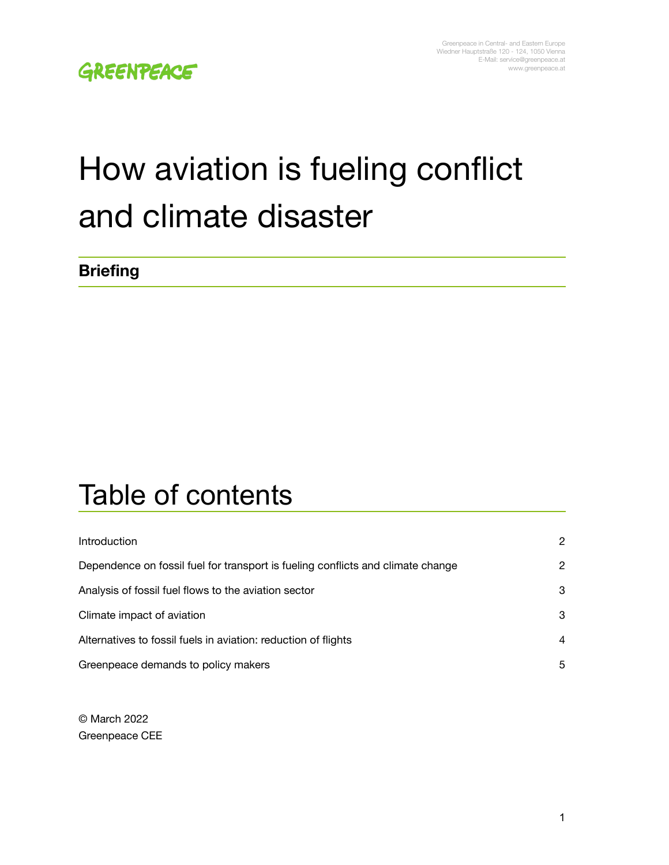# How aviation is fueling conflict and climate disaster

#### **Briefing**

## Table of contents

| <b>Introduction</b>                                                             | $\mathcal{P}$ |
|---------------------------------------------------------------------------------|---------------|
| Dependence on fossil fuel for transport is fueling conflicts and climate change | 2             |
| Analysis of fossil fuel flows to the aviation sector                            | 3             |
| Climate impact of aviation                                                      | 3             |
| Alternatives to fossil fuels in aviation: reduction of flights                  | 4             |
| Greenpeace demands to policy makers                                             | 5             |

© March 2022 Greenpeace CEE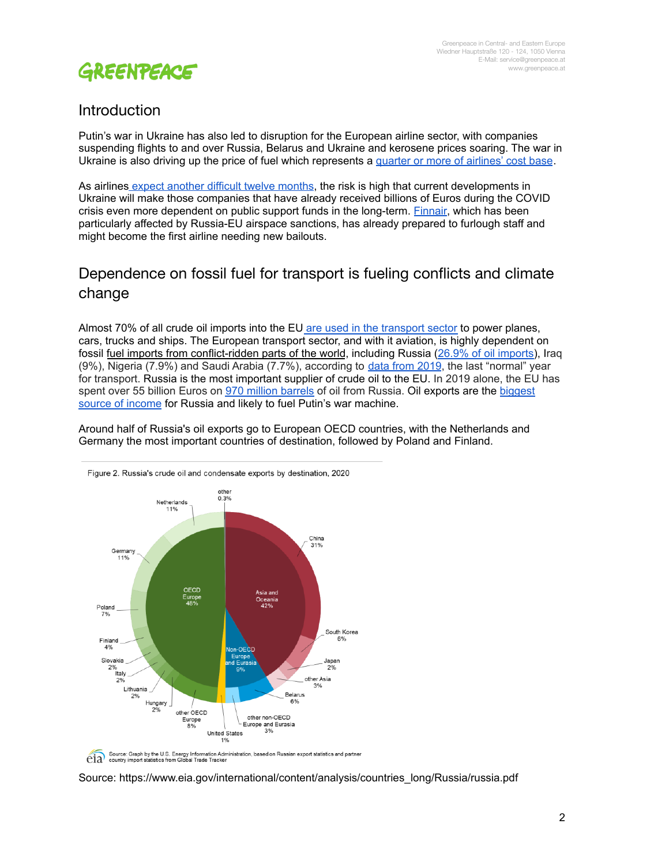

#### <span id="page-1-0"></span>Introduction

Putin's war in Ukraine has also led to disruption for the European airline sector, with companies suspending flights to and over Russia, Belarus and Ukraine and kerosene prices soaring. The war in Ukraine is also driving up the price of fuel which represents a quarter or more of [airlines'](https://www.freightwaves.com/news/ukraine-crisis-creates-logistics-headaches-for-air-cargo-airlines) cost base.

As airlines expect [another](https://www.reuters.com/business/aerospace-defense/ryanair-boss-predicts-tough-months-ahead-war-pushes-up-fuel-prices-2022-03-02/) difficult twelve months, the risk is high that current developments in Ukraine will make those companies that have already received billions of Euros during the COVID crisis even more dependent on public support funds in the long-term. [Finnair](https://www.aviacionline.com/2022/02/finnair-hardest-hit-european-airline-by-airspace-closures-says-ceo/), which has been particularly affected by Russia-EU airspace sanctions, has already prepared to furlough staff and might become the first airline needing new bailouts.

#### <span id="page-1-1"></span>Dependence on fossil fuel for transport is fueling conflicts and climate change

Almost 70% of all crude oil imports into the EU are used in the [transport](https://ec.europa.eu/eurostat/statistics-explained/index.php?title=File:Consumption_of_oil_in_selected_sectors,_EU-27,_2018_(%25).png) sector to power planes, cars, trucks and ships. The European transport sector, and with it aviation, is highly dependent on fossil fuel imports from [conflict-ridden](https://energy.ec.europa.eu/data-and-analysis/eu-crude-oil-imports-and-supply-cost_en) parts of the world, including Russia (26.9% of oil [imports\)](https://ec.europa.eu/eurostat/cache/infographs/energy/bloc-2c.html#carouselControls?lang=en), Iraq (9%), Nigeria (7.9%) and Saudi Arabia (7.7%), according to data from [2019](https://ec.europa.eu/eurostat/cache/infographs/energy/bloc-2c.html#carouselControls?lang=en), the last "normal" year for transport. Russia is the most important supplier of crude oil to the EU. In 2019 alone, the EU has spent over 55 billion Euros on 970 million [barrels](https://ec.europa.eu/eurostat/statistics-explained/index.php?title=Oil_and_petroleum_products_-_a_statistical_overview&oldid=315177) of oil from Russia. Oil exports are the [biggest](https://oec.world/en/profile/country/rus) source of [income](https://oec.world/en/profile/country/rus) for Russia and likely to fuel Putin's war machine.

Around half of Russia's oil exports go to European OECD countries, with the Netherlands and Germany the most important countries of destination, followed by Poland and Finland.



Source: Graph by the U.S. Energy Information Administration, based on Russian export statistics and partner

#### Source: https://www.eia.gov/international/content/analysis/countries\_long/Russia/russia.pdf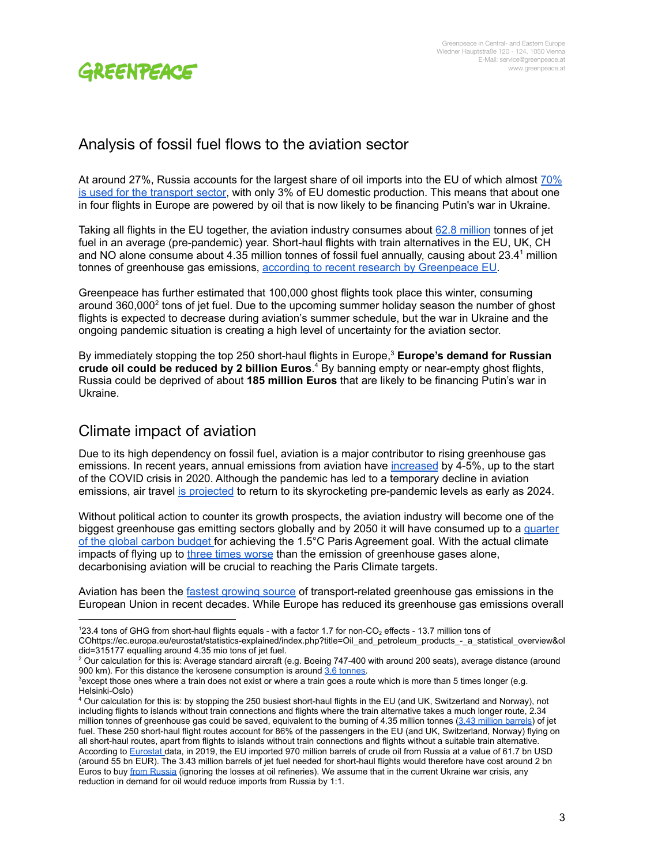

#### <span id="page-2-0"></span>Analysis of fossil fuel flows to the aviation sector

At around 27%, Russia accounts for the largest share of oil imports into the EU of which almost  $70\%$ is used for the [transport](https://ec.europa.eu/eurostat/statistics-explained/index.php?title=File:Consumption_of_oil_in_selected_sectors,_EU-27,_2018_(%25).png) sector, with only 3% of EU domestic production. This means that about one in four flights in Europe are powered by oil that is now likely to be financing Putin's war in Ukraine.

Taking all flights in the EU together, the aviation industry consumes about 62.8 [million](https://www.fuelseurope.eu/wp-content/uploads/FuelsEurope-Statistical-Report-2019-2.pdf) tonnes of jet fuel in an average (pre-pandemic) year. Short-haul flights with train alternatives in the EU, UK, CH and NO alone consume about 4.35 million tonnes of fossil fuel annually, causing about 23.4 <sup>1</sup> million tonnes of greenhouse gas emissions, according to recent research by [Greenpeace](https://www.greenpeace.org/static/planet4-eu-unit-stateless/2021/10/135ec803-getontrack-gp-briefing-en-final.pdf) EU.

Greenpeace has further estimated that 100,000 ghost flights took place this winter, consuming around 360,000<sup>2</sup> tons of jet fuel. Due to the upcoming summer holiday season the number of ghost flights is expected to decrease during aviation's summer schedule, but the war in Ukraine and the ongoing pandemic situation is creating a high level of uncertainty for the aviation sector.

By immediately stopping the top 250 short-haul flights in Europe, <sup>3</sup> **Europe's demand for Russian crude oil could be reduced by 2 billion Euros**. <sup>4</sup> By banning empty or near-empty ghost flights, Russia could be deprived of about **185 million Euros** that are likely to be financing Putin's war in Ukraine.

#### <span id="page-2-1"></span>Climate impact of aviation

Due to its high dependency on fossil fuel, aviation is a major contributor to rising greenhouse gas emissions. In recent years, annual emissions from aviation have [increased](https://www.transportenvironment.org/discover/airline-emissions-growth-out-control/) by 4-5%, up to the start of the COVID crisis in 2020. Although the pandemic has led to a temporary decline in aviation emissions, air travel is [projected](https://www.mckinsey.com/industries/travel-logistics-and-infrastructure/our-insights/back-to-the-future-airline-sector-poised-for-change-post-covid-19) to return to its skyrocketing pre-pandemic levels as early as 2024.

Without political action to counter its growth prospects, the aviation industry will become one of the biggest greenhouse gas emitting sectors globally and by 2050 it will have consumed up to a [quarter](https://www.carbonbrief.org/aviation-consume-quarter-carbon-budget) of the global carbon [budget](https://www.carbonbrief.org/aviation-consume-quarter-carbon-budget) for achieving the 1.5°C Paris Agreement goal. With the actual climate impacts of flying up to three times [worse](https://www.sciencedirect.com/science/article/pii/S1352231020305689) than the emission of greenhouse gases alone, decarbonising aviation will be crucial to reaching the Paris Climate targets.

Aviation has been the fastest [growing](https://www.eea.europa.eu/data-and-maps/indicators/greenhouse-gas-emission-trends-6/assessment-3) source of transport-related greenhouse gas emissions in the European Union in recent decades. While Europe has reduced its greenhouse gas emissions overall

<sup>123.4</sup> tons of GHG from short-haul flights equals - with a factor 1.7 for non-CO<sub>2</sub> effects - 13.7 million tons of COhttps://ec.europa.eu/eurostat/statistics-explained/index.php?title=Oil\_and\_petroleum\_products\_-\_a\_statistical\_overview&ol did=315177 equalling around 4.35 mio tons of jet fuel.

<sup>&</sup>lt;sup>2</sup> Our calculation for this is: Average standard aircraft (e.g. Boeing 747-400 with around 200 seats), average distance (around 900 km). For this distance the kerosene consumption is around 3.6 [tonnes.](https://www.carbonindependent.org/22.html)

<sup>&</sup>lt;sup>3</sup> except those ones where a train does not exist or where a train goes a route which is more than 5 times longer (e.g. Helsinki-Oslo)

<sup>4</sup> Our calculation for this is: by stopping the 250 busiest short-haul flights in the EU (and UK, Switzerland and Norway), not including flights to islands without train connections and flights where the train alternative takes a much longer route, 2.34 million tonnes of greenhouse gas could be saved, equivalent to the burning of 4.35 million tonnes  $(3.43$  million [barrels\)](https://www.bp.com/content/dam/bp/business-sites/en/global/corporate/pdfs/energy-economics/statistical-review/bp-stats-review-2021-approximate-conversion-factors.pdf) of jet fuel. These 250 short-haul flight routes account for 86% of the passengers in the EU (and UK, Switzerland, Norway) flying on all short-haul routes, apart from flights to islands without train connections and flights without a suitable train alternative. According to [Eurostat](https://ec.europa.eu/eurostat/statistics-explained/index.php?title=Oil_and_petroleum_products_-_a_statistical_overview&oldid=315177) data, in 2019, the EU imported 970 million barrels of crude oil from Russia at a value of 61.7 bn USD (around 55 bn EUR). The 3.43 million barrels of jet fuel needed for short-haul flights would therefore have cost around 2 bn Euros to buy from [Russia](https://ec.europa.eu/eurostat/statistics-explained/index.php?title=Oil_and_petroleum_products_-_a_statistical_overview&oldid=315177) (ignoring the losses at oil refineries). We assume that in the current Ukraine war crisis, any reduction in demand for oil would reduce imports from Russia by 1:1.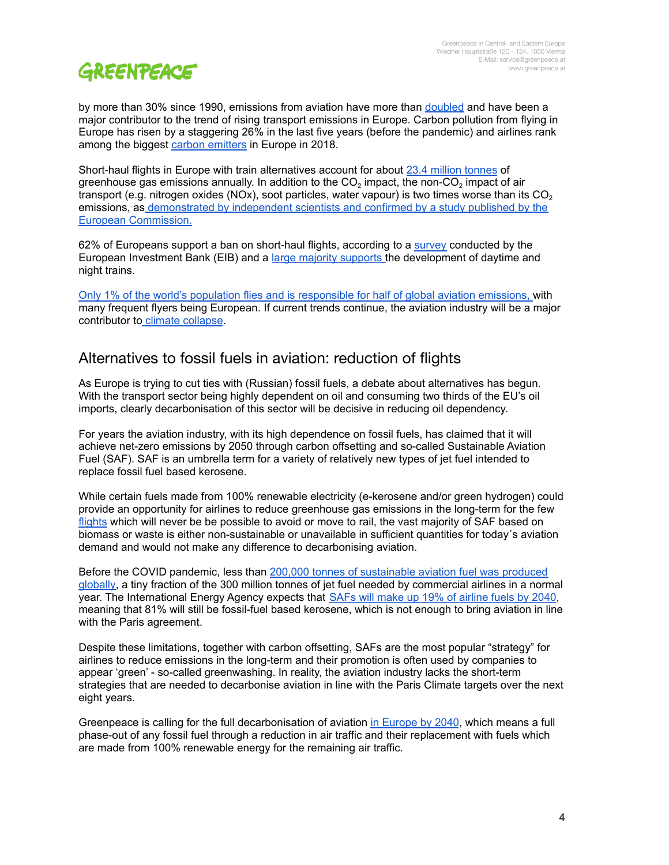by more than 30% since 1990, emissions from aviation have more than [doubled](https://www.eea.europa.eu/data-and-maps/data/data-viewers/greenhouse-gases-viewer) and have been a major contributor to the trend of rising transport emissions in Europe. Carbon pollution from flying in Europe has risen by a staggering 26% in the last five years (before the pandemic) and airlines rank among the biggest carbon [emitters](https://www.transportenvironment.org/news/airlines-are-biggest-carbon-emitters-four-european-countries) in Europe in 2018.

Short-haul flights in Europe with train alternatives account for about 23.4 million [tonnes](https://www.greenpeace.org/static/planet4-eu-unit-stateless/2021/10/135ec803-getontrack-gp-briefing-en-final.pdf) of greenhouse gas emissions annually. In addition to the CO<sub>2</sub> impact, the non-CO<sub>2</sub> impact of air transport (e.g. nitrogen oxides (NOx), soot particles, water vapour) is two times worse than its  $CO<sub>2</sub>$ emissions, as [demonstrated](https://www.sciencedirect.com/science/article/pii/S1352231020305689) by independent scientists and [confirmed](https://www.greenpeace.org/eu-unit/issues/climate-energy/45308/the-european-commission-must-stop-flying-into-climate-crisis/) by a study published by the European [Commission](https://www.greenpeace.org/eu-unit/issues/climate-energy/45308/the-european-commission-must-stop-flying-into-climate-crisis/)[.](https://www.sciencedirect.com/science/article/pii/S1352231020305689)

62% of Europeans support a ban on short-haul flights, according to a [survey](https://www.eib.org/en/infographics/ban-on-short-distance-flights) conducted by the European Investment Bank (EIB) and a large majority [supports](https://germanwatch.org/sites/default/files/2021-03-26_EU%20Rail_polling%20report_final-1.pdf) the development of daytime and night trains.

Only 1% of the world's population flies and is [responsible](https://www.sciencedirect.com/science/article/pii/S0959378020307779) for half of global aviation emissions, with many frequent flyers being European. If current trends continue, the aviation industry will be a major contributor to climate [collapse](https://www.carbonbrief.org/aviation-consume-quarter-carbon-budget).

#### <span id="page-3-0"></span>Alternatives to fossil fuels in aviation: reduction of flights

As Europe is trying to cut ties with (Russian) fossil fuels, a debate about alternatives has begun. With the transport sector being highly dependent on oil and consuming two thirds of the EU's oil imports, clearly decarbonisation of this sector will be decisive in reducing oil dependency.

For years the aviation industry, with its high dependence on fossil fuels, has claimed that it will achieve net-zero emissions by 2050 through carbon offsetting and so-called Sustainable Aviation Fuel (SAF). SAF is an umbrella term for a variety of relatively new types of jet fuel intended to replace fossil fuel based kerosene.

While certain fuels made from 100% renewable electricity (e-kerosene and/or green hydrogen) could provide an opportunity for airlines to reduce greenhouse gas emissions in the long-term for the few [flights](https://www.greenpeace.org.uk/resources/policy-briefing-building-back-better-for-aviation/) which will never be be possible to avoid or move to rail, the vast majority of SAF based on biomass or waste is either non-sustainable or unavailable in sufficient quantities for today´s aviation demand and would not make any difference to decarbonising aviation.

Before the COVID pandemic, less than 200,000 tonnes of [sustainable](https://edition.cnn.com/travel/article/aviation-environmental-impact-2021/index.html?utm_source=twCNN&utm_medium=social&utm_term=link&utm_content=2021-11-24T19%3A00%3A15) aviation fuel was produced [globally,](https://edition.cnn.com/travel/article/aviation-environmental-impact-2021/index.html?utm_source=twCNN&utm_medium=social&utm_term=link&utm_content=2021-11-24T19%3A00%3A15) a tiny fraction of the 300 million tonnes of jet fuel needed by commercial airlines in a normal year. The International Energy Agency expects that SAFs will make up 19% of [airline](https://www.iea.org/commentaries/are-aviation-biofuels-ready-for-take-off) fuels by 2040, meaning that 81% will still be fossil-fuel based kerosene, which is not enough to bring aviation in line with the Paris agreement.

Despite these limitations, together with carbon offsetting, SAFs are the most popular "strategy" for airlines to reduce emissions in the long-term and their promotion is often used by companies to appear 'green' - so-called greenwashing. In reality, the aviation industry lacks the short-term strategies that are needed to decarbonise aviation in line with the Paris Climate targets over the next eight years.

Greenpeace is calling for the full decarbonisation of aviation in [Europe](https://www.greenpeace.org/static/planet4-belgium-stateless/2020/09/6a3a7fc4-transportroadmap_report_september2020_2.pdf) by 2040, which means a full phase-out of any fossil fuel through a reduction in air traffic and their replacement with fuels which are made from 100% renewable energy for the remaining air traffic.